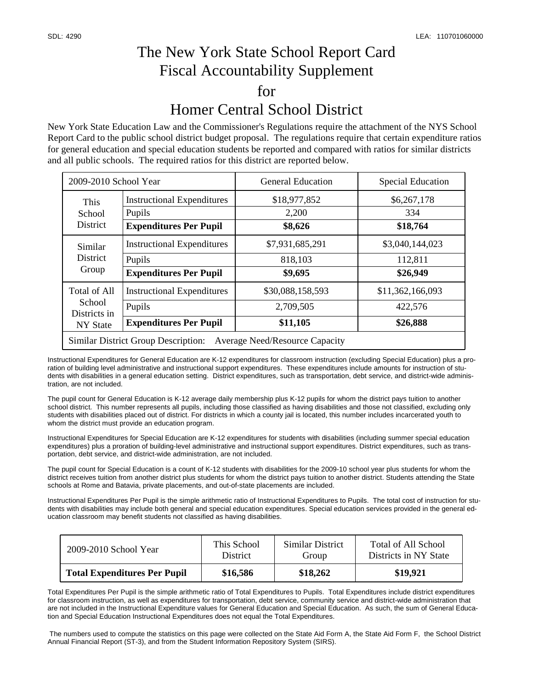## The New York State School Report Card Fiscal Accountability Supplement for Homer Central School District

New York State Education Law and the Commissioner's Regulations require the attachment of the NYS School Report Card to the public school district budget proposal. The regulations require that certain expenditure ratios for general education and special education students be reported and compared with ratios for similar districts and all public schools. The required ratios for this district are reported below.

| 2009-2010 School Year                                                               |                                         | <b>General Education</b> | <b>Special Education</b> |  |  |  |
|-------------------------------------------------------------------------------------|-----------------------------------------|--------------------------|--------------------------|--|--|--|
| This<br>School<br><b>District</b>                                                   | <b>Instructional Expenditures</b>       | \$18,977,852<br>2,200    | \$6,267,178<br>334       |  |  |  |
|                                                                                     | Pupils<br><b>Expenditures Per Pupil</b> | \$8,626                  | \$18,764                 |  |  |  |
| Similar<br><b>District</b><br>Group                                                 | <b>Instructional Expenditures</b>       | \$7,931,685,291          | \$3,040,144,023          |  |  |  |
|                                                                                     | Pupils                                  | 818,103                  | 112,811                  |  |  |  |
|                                                                                     | <b>Expenditures Per Pupil</b>           | \$9,695                  | \$26,949                 |  |  |  |
| <b>Total of All</b><br>School<br>Districts in<br>NY State                           | <b>Instructional Expenditures</b>       | \$30,088,158,593         | \$11,362,166,093         |  |  |  |
|                                                                                     | Pupils                                  | 2,709,505                | 422,576                  |  |  |  |
|                                                                                     | <b>Expenditures Per Pupil</b>           | \$11,105                 | \$26,888                 |  |  |  |
| <b>Similar District Group Description:</b><br><b>Average Need/Resource Capacity</b> |                                         |                          |                          |  |  |  |

Instructional Expenditures for General Education are K-12 expenditures for classroom instruction (excluding Special Education) plus a proration of building level administrative and instructional support expenditures. These expenditures include amounts for instruction of students with disabilities in a general education setting. District expenditures, such as transportation, debt service, and district-wide administration, are not included.

The pupil count for General Education is K-12 average daily membership plus K-12 pupils for whom the district pays tuition to another school district. This number represents all pupils, including those classified as having disabilities and those not classified, excluding only students with disabilities placed out of district. For districts in which a county jail is located, this number includes incarcerated youth to whom the district must provide an education program.

Instructional Expenditures for Special Education are K-12 expenditures for students with disabilities (including summer special education expenditures) plus a proration of building-level administrative and instructional support expenditures. District expenditures, such as transportation, debt service, and district-wide administration, are not included.

The pupil count for Special Education is a count of K-12 students with disabilities for the 2009-10 school year plus students for whom the district receives tuition from another district plus students for whom the district pays tuition to another district. Students attending the State schools at Rome and Batavia, private placements, and out-of-state placements are included.

Instructional Expenditures Per Pupil is the simple arithmetic ratio of Instructional Expenditures to Pupils. The total cost of instruction for students with disabilities may include both general and special education expenditures. Special education services provided in the general education classroom may benefit students not classified as having disabilities.

| $2009 - 2010$ School Year           | This School     | Similar District | Total of All School   |
|-------------------------------------|-----------------|------------------|-----------------------|
|                                     | <b>District</b> | Group            | Districts in NY State |
| <b>Total Expenditures Per Pupil</b> | \$16,586        | \$18,262         | \$19,921              |

Total Expenditures Per Pupil is the simple arithmetic ratio of Total Expenditures to Pupils. Total Expenditures include district expenditures for classroom instruction, as well as expenditures for transportation, debt service, community service and district-wide administration that are not included in the Instructional Expenditure values for General Education and Special Education. As such, the sum of General Education and Special Education Instructional Expenditures does not equal the Total Expenditures.

 The numbers used to compute the statistics on this page were collected on the State Aid Form A, the State Aid Form F, the School District Annual Financial Report (ST-3), and from the Student Information Repository System (SIRS).